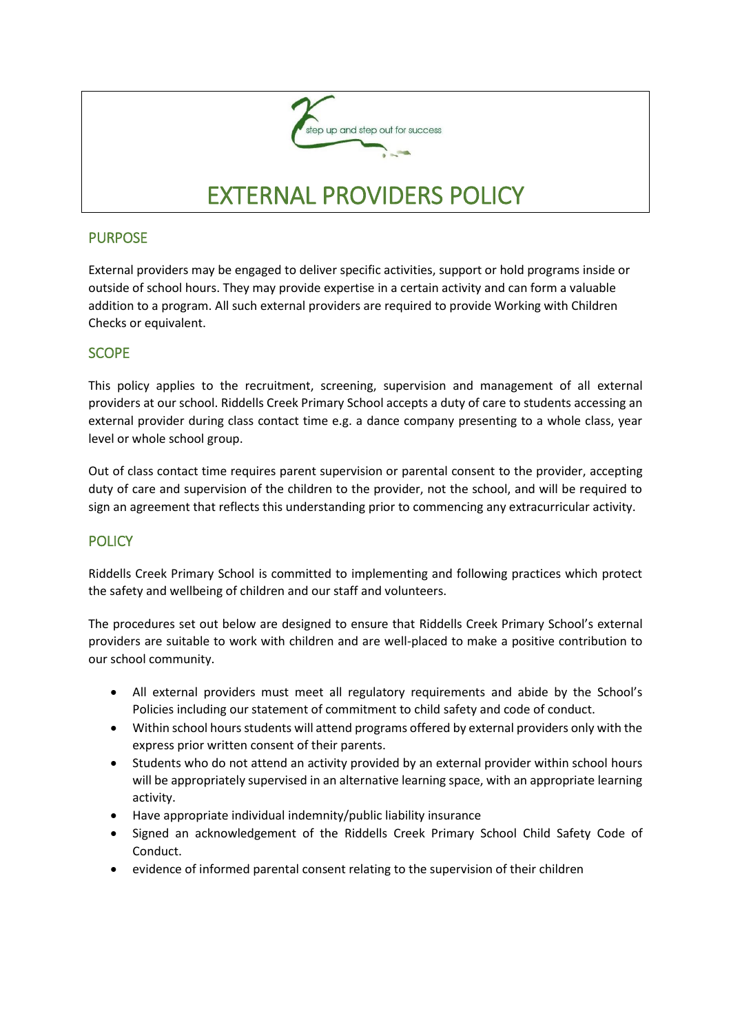

## PURPOSE

External providers may be engaged to deliver specific activities, support or hold programs inside or outside of school hours. They may provide expertise in a certain activity and can form a valuable addition to a program. All such external providers are required to provide Working with Children Checks or equivalent.

# **SCOPE**

This policy applies to the recruitment, screening, supervision and management of all external providers at our school. Riddells Creek Primary School accepts a duty of care to students accessing an external provider during class contact time e.g. a dance company presenting to a whole class, year level or whole school group.

Out of class contact time requires parent supervision or parental consent to the provider, accepting duty of care and supervision of the children to the provider, not the school, and will be required to sign an agreement that reflects this understanding prior to commencing any extracurricular activity.

# **POLICY**

Riddells Creek Primary School is committed to implementing and following practices which protect the safety and wellbeing of children and our staff and volunteers.

The procedures set out below are designed to ensure that Riddells Creek Primary School's external providers are suitable to work with children and are well-placed to make a positive contribution to our school community.

- All external providers must meet all regulatory requirements and abide by the School's Policies including our statement of commitment to child safety and code of conduct.
- Within school hours students will attend programs offered by external providers only with the express prior written consent of their parents.
- Students who do not attend an activity provided by an external provider within school hours will be appropriately supervised in an alternative learning space, with an appropriate learning activity.
- Have appropriate individual indemnity/public liability insurance
- Signed an acknowledgement of the Riddells Creek Primary School Child Safety Code of Conduct.
- evidence of informed parental consent relating to the supervision of their children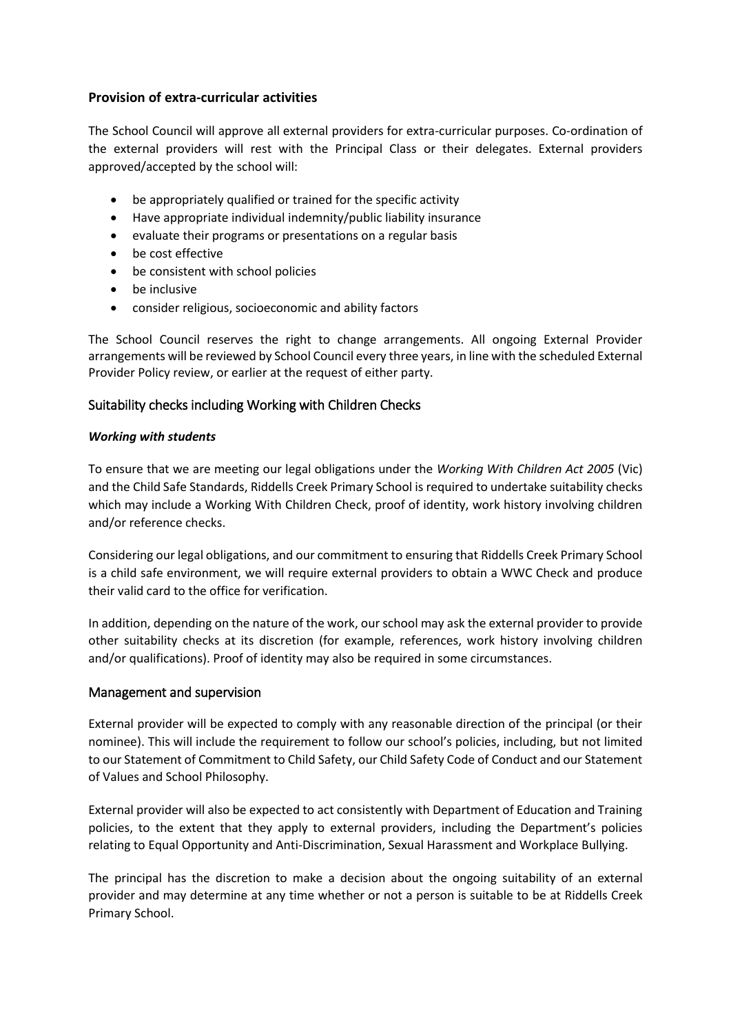#### **Provision of extra-curricular activities**

The School Council will approve all external providers for extra-curricular purposes. Co-ordination of the external providers will rest with the Principal Class or their delegates. External providers approved/accepted by the school will:

- be appropriately qualified or trained for the specific activity
- Have appropriate individual indemnity/public liability insurance
- evaluate their programs or presentations on a regular basis
- be cost effective
- be consistent with school policies
- be inclusive
- consider religious, socioeconomic and ability factors

The School Council reserves the right to change arrangements. All ongoing External Provider arrangements will be reviewed by School Council every three years, in line with the scheduled External Provider Policy review, or earlier at the request of either party.

### Suitability checks including Working with Children Checks

#### *Working with students*

To ensure that we are meeting our legal obligations under the *Working With Children Act 2005* (Vic) and the Child Safe Standards, Riddells Creek Primary School is required to undertake suitability checks which may include a Working With Children Check, proof of identity, work history involving children and/or reference checks.

Considering our legal obligations, and our commitment to ensuring that Riddells Creek Primary School is a child safe environment, we will require external providers to obtain a WWC Check and produce their valid card to the office for verification.

In addition, depending on the nature of the work, our school may ask the external provider to provide other suitability checks at its discretion (for example, references, work history involving children and/or qualifications). Proof of identity may also be required in some circumstances.

#### Management and supervision

External provider will be expected to comply with any reasonable direction of the principal (or their nominee). This will include the requirement to follow our school's policies, including, but not limited to our Statement of Commitment to Child Safety, our Child Safety Code of Conduct and our Statement of Values and School Philosophy.

External provider will also be expected to act consistently with Department of Education and Training policies, to the extent that they apply to external providers, including the Department's policies relating to Equal Opportunity and Anti-Discrimination, Sexual Harassment and Workplace Bullying.

The principal has the discretion to make a decision about the ongoing suitability of an external provider and may determine at any time whether or not a person is suitable to be at Riddells Creek Primary School.